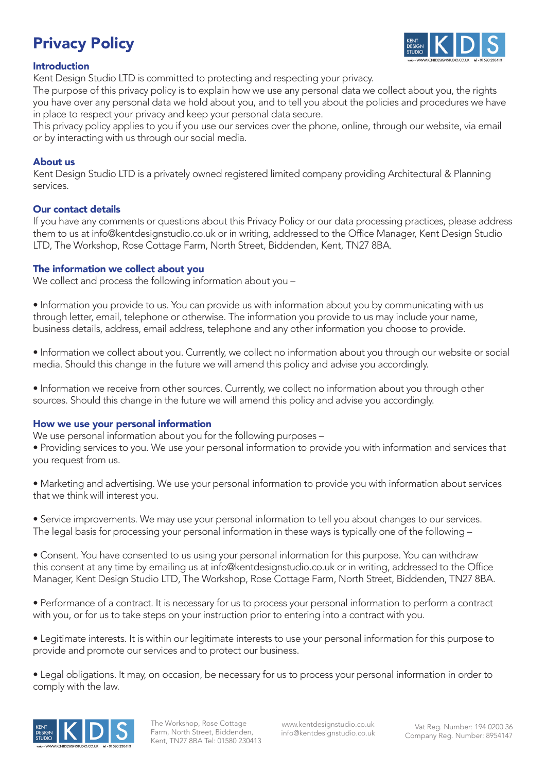# Privacy Policy



## Introduction

Kent Design Studio LTD is committed to protecting and respecting your privacy.

The purpose of this privacy policy is to explain how we use any personal data we collect about you, the rights you have over any personal data we hold about you, and to tell you about the policies and procedures we have in place to respect your privacy and keep your personal data secure.

This privacy policy applies to you if you use our services over the phone, online, through our website, via email or by interacting with us through our social media.

## About us

Kent Design Studio LTD is a privately owned registered limited company providing Architectural & Planning services.

## Our contact details

If you have any comments or questions about this Privacy Policy or our data processing practices, please address them to us at info@kentdesignstudio.co.uk or in writing, addressed to the Office Manager, Kent Design Studio LTD, The Workshop, Rose Cottage Farm, North Street, Biddenden, Kent, TN27 8BA.

## The information we collect about you

We collect and process the following information about you –

• Information you provide to us. You can provide us with information about you by communicating with us through letter, email, telephone or otherwise. The information you provide to us may include your name, business details, address, email address, telephone and any other information you choose to provide.

• Information we collect about you. Currently, we collect no information about you through our website or social media. Should this change in the future we will amend this policy and advise you accordingly.

• Information we receive from other sources. Currently, we collect no information about you through other sources. Should this change in the future we will amend this policy and advise you accordingly.

### How we use your personal information

We use personal information about you for the following purposes –

• Providing services to you. We use your personal information to provide you with information and services that you request from us.

• Marketing and advertising. We use your personal information to provide you with information about services that we think will interest you.

• Service improvements. We may use your personal information to tell you about changes to our services. The legal basis for processing your personal information in these ways is typically one of the following –

• Consent. You have consented to us using your personal information for this purpose. You can withdraw this consent at any time by emailing us at info@kentdesignstudio.co.uk or in writing, addressed to the Office Manager, Kent Design Studio LTD, The Workshop, Rose Cottage Farm, North Street, Biddenden, TN27 8BA.

• Performance of a contract. It is necessary for us to process your personal information to perform a contract with you, or for us to take steps on your instruction prior to entering into a contract with you.

• Legitimate interests. It is within our legitimate interests to use your personal information for this purpose to provide and promote our services and to protect our business.

• Legal obligations. It may, on occasion, be necessary for us to process your personal information in order to comply with the law.



The Workshop, Rose Cottage Farm, North Street, Biddenden, Kent, TN27 8BA Tel: 01580 230413

www.kentdesignstudio.co.uk info@kentdesignstudio.co.uk